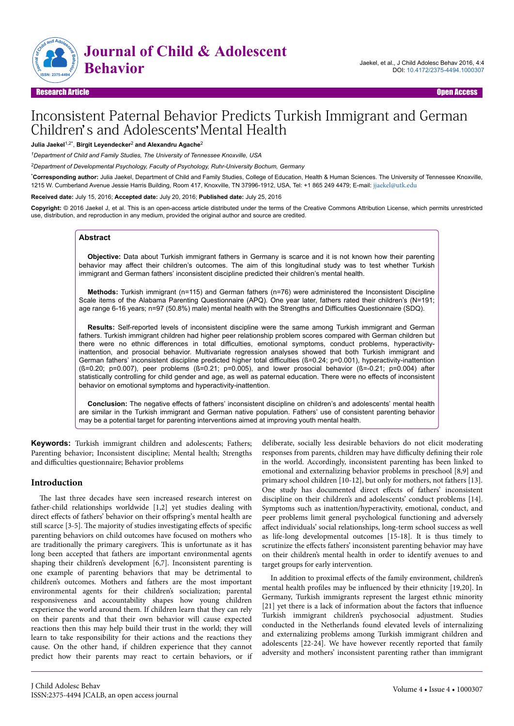

# Inconsistent Paternal Behavior Predicts Turkish Immigrant and German Children's and Adolescents'Mental Health

#### **Julia Jaekel**1,2\* , **Birgit Leyendecker**<sup>2</sup>  **and Alexandru Agache**<sup>2</sup>

*<sup>1</sup>Department of Child and Family Studies, The University of Tennessee Knoxville, USA*

*<sup>2</sup>Department of Developmental Psychology, Faculty of Psychology, Ruhr-University Bochum, Germany*

\***Corresponding author:** Julia Jaekel, Department of Child and Family Studies, College of Education, Health & Human Sciences. The University of Tennessee Knoxville, 1215 W. Cumberland Avenue Jessie Harris Building, Room 417, Knoxville, TN 37996-1912, USA, Tel: +1 865 249 4479; E-mail: [jjaekel@utk.edu](mailto:jjaekel@utk.edu)

**Received date:** July 15, 2016; **Accepted date:** July 20, 2016; **Published date:** July 25, 2016

**Copyright:** © 2016 Jaekel J, et al. This is an open-access article distributed under the terms of the Creative Commons Attribution License, which permits unrestricted use, distribution, and reproduction in any medium, provided the original author and source are credited.

## **Abstract**

**Objective:** Data about Turkish immigrant fathers in Germany is scarce and it is not known how their parenting behavior may affect their children's outcomes. The aim of this longitudinal study was to test whether Turkish immigrant and German fathers' inconsistent discipline predicted their children's mental health.

**Methods:** Turkish immigrant (n=115) and German fathers (n=76) were administered the Inconsistent Discipline Scale items of the Alabama Parenting Questionnaire (APQ). One year later, fathers rated their children's (N=191; age range 6-16 years; n=97 (50.8%) male) mental health with the Strengths and Difficulties Questionnaire (SDQ).

**Results:** Self-reported levels of inconsistent discipline were the same among Turkish immigrant and German fathers. Turkish immigrant children had higher peer relationship problem scores compared with German children but there were no ethnic differences in total difficulties, emotional symptoms, conduct problems, hyperactivityinattention, and prosocial behavior. Multivariate regression analyses showed that both Turkish immigrant and German fathers' inconsistent discipline predicted higher total difficulties (ß=0.24; p=0.001), hyperactivity-inattention (ß=0.20; p=0.007), peer problems (ß=0.21; p=0.005), and lower prosocial behavior (ß=-0.21; p=0.004) after statistically controlling for child gender and age, as well as paternal education. There were no effects of inconsistent behavior on emotional symptoms and hyperactivity-inattention.

**Conclusion:** The negative effects of fathers' inconsistent discipline on children's and adolescents' mental health are similar in the Turkish immigrant and German native population. Fathers' use of consistent parenting behavior may be a potential target for parenting interventions aimed at improving youth mental health.

**Keywords:** Turkish immigrant children and adolescents; Fathers; Parenting behavior; Inconsistent discipline; Mental health; Strengths and difficulties questionnaire; Behavior problems

### **Introduction**

The last three decades have seen increased research interest on father-child relationships worldwide [1,2] yet studies dealing with direct effects of fathers' behavior on their offspring's mental health are still scarce [3-5]. The majority of studies investigating effects of specific parenting behaviors on child outcomes have focused on mothers who are traditionally the primary caregivers. Нis is unfortunate as it has long been accepted that fathers are important environmental agents shaping their children's development [6,7]. Inconsistent parenting is one example of parenting behaviors that may be detrimental to children's outcomes. Mothers and fathers are the most important environmental agents for their children's socialization; parental responsiveness and accountability shapes how young children experience the world around them. If children learn that they can rely on their parents and that their own behavior will cause expected reactions then this may help build their trust in the world; they will learn to take responsibility for their actions and the reactions they cause. On the other hand, if children experience that they cannot predict how their parents may react to certain behaviors, or if

deliberate, socially less desirable behaviors do not elicit moderating responses from parents, children may have difficulty defining their role in the world. Accordingly, inconsistent parenting has been linked to emotional and externalizing behavior problems in preschool [8,9] and primary school children [10-12], but only for mothers, not fathers [13]. One study has documented direct effects of fathers' inconsistent discipline on their children's and adolescents' conduct problems [14]. Symptoms such as inattention/hyperactivity, emotional, conduct, and peer problems limit general psychological functioning and adversely affect individuals' social relationships, long-term school success as well as life-long developmental outcomes [15-18]. It is thus timely to scrutinize the effects fathers' inconsistent parenting behavior may have on their children's mental health in order to identify avenues to and target groups for early intervention.

In addition to proximal effects of the family environment, children's mental health profiles may be influenced by their ethnicity [19,20]. In Germany, Turkish immigrants represent the largest ethnic minority [21] yet there is a lack of information about the factors that influence Turkish immigrant children's psychosocial adjustment. Studies conducted in the Netherlands found elevated levels of internalizing and externalizing problems among Turkish immigrant children and adolescents [22-24]. We have however recently reported that family adversity and mothers' inconsistent parenting rather than immigrant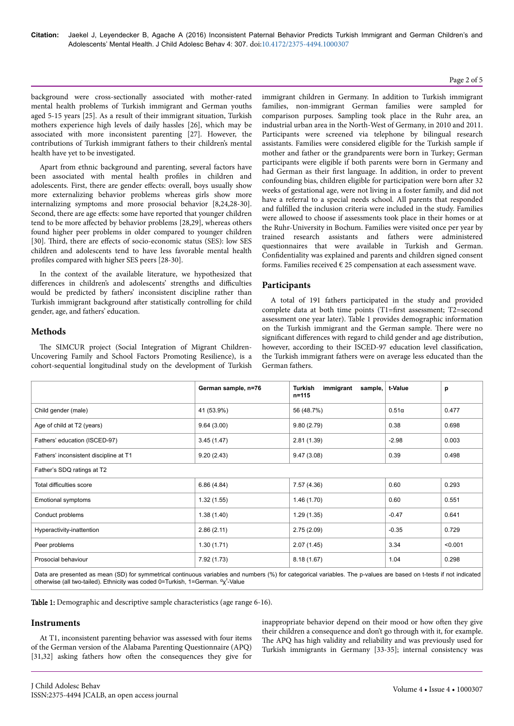#### Page 2 of 5

background were cross-sectionally associated with mother-rated mental health problems of Turkish immigrant and German youths aged 5-15 years [25]. As a result of their immigrant situation, Turkish mothers experience high levels of daily hassles [26], which may be associated with more inconsistent parenting [27]. However, the contributions of Turkish immigrant fathers to their children's mental health have yet to be investigated.

Apart from ethnic background and parenting, several factors have been associated with mental health profiles in children and adolescents. First, there are gender effects: overall, boys usually show more externalizing behavior problems whereas girls show more internalizing symptoms and more prosocial behavior [8,24,28-30]. Second, there are age effects: some have reported that younger children tend to be more affected by behavior problems [28,29], whereas others found higher peer problems in older compared to younger children [30]. Third, there are effects of socio-economic status (SES): low SES children and adolescents tend to have less favorable mental health profiles compared with higher SES peers [28-30].

In the context of the available literature, we hypothesized that differences in children's and adolescents' strengths and difficulties would be predicted by fathers' inconsistent discipline rather than Turkish immigrant background after statistically controlling for child gender, age, and fathers' education.

## **Methods**

The SIMCUR project (Social Integration of Migrant Children-Uncovering Family and School Factors Promoting Resilience), is a cohort-sequential longitudinal study on the development of Turkish

immigrant children in Germany. In addition to Turkish immigrant families, non-immigrant German families were sampled for comparison purposes. Sampling took place in the Ruhr area, an industrial urban area in the North-West of Germany, in 2010 and 2011. Participants were screened via telephone by bilingual research assistants. Families were considered eligible for the Turkish sample if mother and father or the grandparents were born in Turkey; German participants were eligible if both parents were born in Germany and had German as their first language. In addition, in order to prevent confounding bias, children eligible for participation were born after 32 weeks of gestational age, were not living in a foster family, and did not have a referral to a special needs school. All parents that responded and fulfilled the inclusion criteria were included in the study. Families were allowed to choose if assessments took place in their homes or at the Ruhr-University in Bochum. Families were visited once per year by trained research assistants and fathers were administered questionnaires that were available in Turkish and German. Confidentiality was explained and parents and children signed consent forms. Families received  $\epsilon$  25 compensation at each assessment wave.

# **Participants**

A total of 191 fathers participated in the study and provided complete data at both time points (T1=first assessment; T2=second assessment one year later). Table 1 provides demographic information on the Turkish immigrant and the German sample. Нere were no significant differences with regard to child gender and age distribution, however, according to their ISCED-97 education level classification, the Turkish immigrant fathers were on average less educated than the German fathers.

| German sample, n=76        | Turkish<br>immigrant<br>$n = 115$ | t-Value      | p       |  |  |  |  |  |  |  |
|----------------------------|-----------------------------------|--------------|---------|--|--|--|--|--|--|--|
| 41 (53.9%)                 | 56 (48.7%)                        | $0.51\alpha$ | 0.477   |  |  |  |  |  |  |  |
| 9.64(3.00)                 | 9.80(2.79)                        | 0.38         | 0.698   |  |  |  |  |  |  |  |
| 3.45(1.47)                 | 2.81(1.39)                        | $-2.98$      | 0.003   |  |  |  |  |  |  |  |
| 9.20(2.43)                 | 9.47(3.08)                        | 0.39         | 0.498   |  |  |  |  |  |  |  |
| Father's SDQ ratings at T2 |                                   |              |         |  |  |  |  |  |  |  |
| 6.86(4.84)                 | 7.57(4.36)                        | 0.60         | 0.293   |  |  |  |  |  |  |  |
| 1.32(1.55)                 | 1.46(1.70)                        | 0.60         | 0.551   |  |  |  |  |  |  |  |
| 1.38(1.40)                 | 1.29(1.35)                        | $-0.47$      | 0.641   |  |  |  |  |  |  |  |
| 2.86(2.11)                 | 2.75(2.09)                        | $-0.35$      | 0.729   |  |  |  |  |  |  |  |
| 1.30(1.71)                 | 2.07(1.45)                        | 3.34         | < 0.001 |  |  |  |  |  |  |  |
| 7.92 (1.73)                | 8.18(1.67)                        | 1.04         | 0.298   |  |  |  |  |  |  |  |
|                            |                                   |              | sample, |  |  |  |  |  |  |  |

Data are presented as mean (SD) for symmetrical continuous variables and numbers (%) for categorical variables. The p-values are based on t-tests if not indicated otherwise (all two-tailed). Ethnicity was coded 0=Turkish, 1=German. <sup>α</sup>χ<sup>2</sup>-Value

Table 1: Demographic and descriptive sample characteristics (age range 6-16).

## **Instruments**

At T1, inconsistent parenting behavior was assessed with four items of the German version of the Alabama Parenting Questionnaire (APQ) [31,32] asking fathers how often the consequences they give for

inappropriate behavior depend on their mood or how often they give their children a consequence and don't go through with it, for example. The APQ has high validity and reliability and was previously used for Turkish immigrants in Germany [33-35]; internal consistency was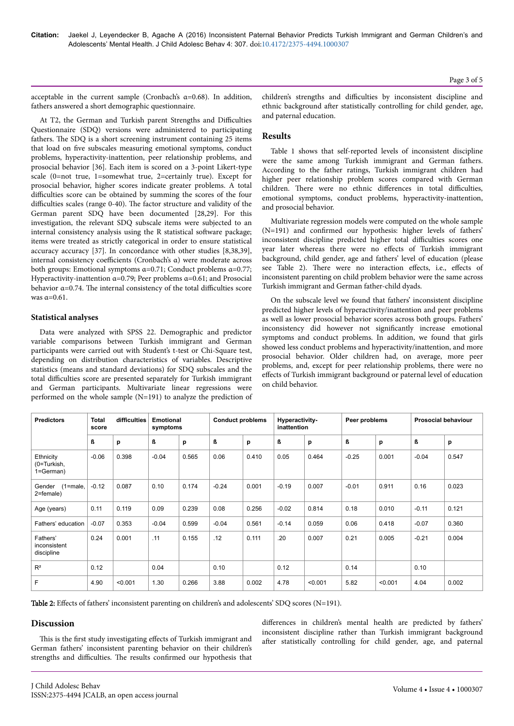**Citation:** Jaekel J, Leyendecker B, Agache A (2016) Inconsistent Paternal Behavior Predicts Turkish Immigrant and German Children's and Adolescents' Mental Health. J Child Adolesc Behav 4: 307. doi:10.4172/2375-4494.1000307

acceptable in the current sample (Cronbach's  $\alpha$ =0.68). In addition, fathers answered a short demographic questionnaire.

At T2, the German and Turkish parent Strengths and Difficulties Questionnaire (SDQ) versions were administered to participating fathers. Нe SDQ is a short screening instrument containing 25 items that load on five subscales measuring emotional symptoms, conduct problems, hyperactivity-inattention, peer relationship problems, and prosocial behavior [36]. Each item is scored on a 3-point Likert-type scale (0=not true, 1=somewhat true, 2=certainly true). Except for prosocial behavior, higher scores indicate greater problems. A total difficulties score can be obtained by summing the scores of the four difficulties scales (range 0-40). The factor structure and validity of the German parent SDQ have been documented [28,29]. For this investigation, the relevant SDQ subscale items were subjected to an internal consistency analysis using the R statistical software package; items were treated as strictly categorical in order to ensure statistical accuracy accuracy [37]. In concordance with other studies [8,38,39], internal consistency coefficients (Cronbach's α) were moderate across both groups: Emotional symptoms  $\alpha=0.71$ ; Conduct problems  $\alpha=0.77$ ; Hyperactivity-inattention α=0.79; Peer problems α=0.61; and Prosocial behavior  $\alpha$ =0.74. The internal consistency of the total difficulties score was α=0.61.

### **Statistical analyses**

Data were analyzed with SPSS 22. Demographic and predictor variable comparisons between Turkish immigrant and German participants were carried out with Student's t-test or Chi-Square test, depending on distribution characteristics of variables. Descriptive statistics (means and standard deviations) for SDQ subscales and the total difficulties score are presented separately for Turkish immigrant and German participants. Multivariate linear regressions were performed on the whole sample (N=191) to analyze the prediction of children's strengths and difficulties by inconsistent discipline and ethnic background after statistically controlling for child gender, age, and paternal education.

# **Results**

Table 1 shows that self-reported levels of inconsistent discipline were the same among Turkish immigrant and German fathers. According to the father ratings, Turkish immigrant children had higher peer relationship problem scores compared with German children. There were no ethnic differences in total difficulties, emotional symptoms, conduct problems, hyperactivity-inattention, and prosocial behavior.

Multivariate regression models were computed on the whole sample (N=191) and confirmed our hypothesis: higher levels of fathers' inconsistent discipline predicted higher total difficulties scores one year later whereas there were no effects of Turkish immigrant background, child gender, age and fathers' level of education (please see Table 2). There were no interaction effects, i.e., effects of inconsistent parenting on child problem behavior were the same across Turkish immigrant and German father-child dyads.

On the subscale level we found that fathers' inconsistent discipline predicted higher levels of hyperactivity/inattention and peer problems as well as lower prosocial behavior scores across both groups. Fathers' inconsistency did however not significantly increase emotional symptoms and conduct problems. In addition, we found that girls showed less conduct problems and hyperactivity/inattention, and more prosocial behavior. Older children had, on average, more peer problems, and, except for peer relationship problems, there were no effects of Turkish immigrant background or paternal level of education on child behavior.

| <b>Predictors</b>                      | difficulties<br><b>Total</b><br>score |         | <b>Emotional</b><br>symptoms |       | <b>Conduct problems</b> |       | Hyperactivity-<br>inattention |         | Peer problems |         | <b>Prosocial behaviour</b> |       |
|----------------------------------------|---------------------------------------|---------|------------------------------|-------|-------------------------|-------|-------------------------------|---------|---------------|---------|----------------------------|-------|
|                                        | ß                                     | p       | ß                            | p     | ß                       | p     | ß                             | p       | ß             | р       | ß                          | p     |
| Ethnicity<br>(0=Turkish,<br>1=German)  | $-0.06$                               | 0.398   | $-0.04$                      | 0.565 | 0.06                    | 0.410 | 0.05                          | 0.464   | $-0.25$       | 0.001   | $-0.04$                    | 0.547 |
| $(1 = male,$<br>Gender<br>2=female)    | $-0.12$                               | 0.087   | 0.10                         | 0.174 | $-0.24$                 | 0.001 | $-0.19$                       | 0.007   | $-0.01$       | 0.911   | 0.16                       | 0.023 |
| Age (years)                            | 0.11                                  | 0.119   | 0.09                         | 0.239 | 0.08                    | 0.256 | $-0.02$                       | 0.814   | 0.18          | 0.010   | $-0.11$                    | 0.121 |
| Fathers' education                     | $-0.07$                               | 0.353   | $-0.04$                      | 0.599 | $-0.04$                 | 0.561 | $-0.14$                       | 0.059   | 0.06          | 0.418   | $-0.07$                    | 0.360 |
| Fathers'<br>inconsistent<br>discipline | 0.24                                  | 0.001   | .11                          | 0.155 | .12                     | 0.111 | .20                           | 0.007   | 0.21          | 0.005   | $-0.21$                    | 0.004 |
| $R^2$                                  | 0.12                                  |         | 0.04                         |       | 0.10                    |       | 0.12                          |         | 0.14          |         | 0.10                       |       |
| F                                      | 4.90                                  | < 0.001 | 1.30                         | 0.266 | 3.88                    | 0.002 | 4.78                          | < 0.001 | 5.82          | < 0.001 | 4.04                       | 0.002 |

**Table 2:** Effects of fathers' inconsistent parenting on children's and adolescents' SDQ scores (N=191).

### **Discussion**

This is the first study investigating effects of Turkish immigrant and German fathers' inconsistent parenting behavior on their children's strengths and difficulties. The results confirmed our hypothesis that differences in children's mental health are predicted by fathers' inconsistent discipline rather than Turkish immigrant background after statistically controlling for child gender, age, and paternal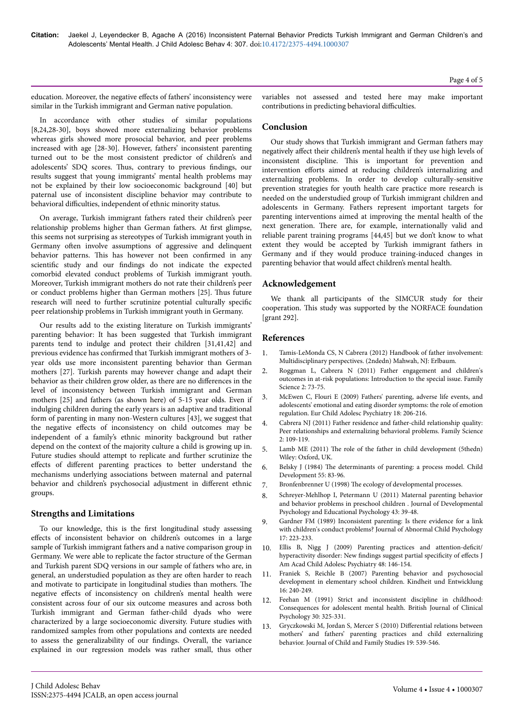education. Moreover, the negative effects of fathers' inconsistency were similar in the Turkish immigrant and German native population.

In accordance with other studies of similar populations [8,24,28-30], boys showed more externalizing behavior problems whereas girls showed more prosocial behavior, and peer problems increased with age [28-30]. However, fathers' inconsistent parenting turned out to be the most consistent predictor of children's and adolescents' SDQ scores. Нus, contrary to previous findings, our results suggest that young immigrants' mental health problems may not be explained by their low socioeconomic background [40] but paternal use of inconsistent discipline behavior may contribute to behavioral difficulties, independent of ethnic minority status.

On average, Turkish immigrant fathers rated their children's peer relationship problems higher than German fathers. At first glimpse, this seems not surprising as stereotypes of Turkish immigrant youth in Germany often involve assumptions of aggressive and delinquent behavior patterns. Нis has however not been confirmed in any scientific study and our findings do not indicate the expected comorbid elevated conduct problems of Turkish immigrant youth. Moreover, Turkish immigrant mothers do not rate their children's peer or conduct problems higher than German mothers [25]. Нus future research will need to further scrutinize potential culturally specific peer relationship problems in Turkish immigrant youth in Germany.

Our results add to the existing literature on Turkish immigrants' parenting behavior: It has been suggested that Turkish immigrant parents tend to indulge and protect their children [31,41,42] and previous evidence has confirmed that Turkish immigrant mothers of 3 year olds use more inconsistent parenting behavior than German mothers [27]. Turkish parents may however change and adapt their behavior as their children grow older, as there are no differences in the level of inconsistency between Turkish immigrant and German mothers [25] and fathers (as shown here) of 5-15 year olds. Even if indulging children during the early years is an adaptive and traditional form of parenting in many non-Western cultures [43], we suggest that the negative effects of inconsistency on child outcomes may be independent of a family's ethnic minority background but rather depend on the context of the majority culture a child is growing up in. Future studies should attempt to replicate and further scrutinize the effects of different parenting practices to better understand the mechanisms underlying associations between maternal and paternal behavior and children's psychosocial adjustment in different ethnic groups.

# **Strengths and Limitations**

To our knowledge, this is the first longitudinal study assessing effects of inconsistent behavior on children's outcomes in a large sample of Turkish immigrant fathers and a native comparison group in Germany. We were able to replicate the factor structure of the German and Turkish parent SDQ versions in our sample of fathers who are, in general, an understudied population as they are often harder to reach and motivate to participate in longitudinal studies than mothers. Нe negative effects of inconsistency on children's mental health were consistent across four of our six outcome measures and across both Turkish immigrant and German father-child dyads who were characterized by a large socioeconomic diversity. Future studies with randomized samples from other populations and contexts are needed to assess the generalizability of our findings. Overall, the variance explained in our regression models was rather small, thus other

variables not assessed and tested here may make important contributions in predicting behavioral difficulties.

## **Conclusion**

Our study shows that Turkish immigrant and German fathers may negatively affect their children's mental health if they use high levels of inconsistent discipline. Нis is important for prevention and intervention efforts aimed at reducing children's internalizing and externalizing problems. In order to develop culturally-sensitive prevention strategies for youth health care practice more research is needed on the understudied group of Turkish immigrant children and adolescents in Germany. Fathers represent important targets for parenting interventions aimed at improving the mental health of the next generation. Нere are, for example, internationally valid and reliable parent training programs [44,45] but we don't know to what extent they would be accepted by Turkish immigrant fathers in Germany and if they would produce training-induced changes in parenting behavior that would affect children's mental health.

### **Acknowledgement**

We thank all participants of the SIMCUR study for their cooperation. Нis study was supported by the NORFACE foundation [grant 292].

### **References**

- 1. Tamis-LeMonda CS, N Cabrera (2012) Handbook of father involvement: Multidisciplinary perspectives. (2ndedn) Mahwah, NJ: Erlbaum.
- 2. [Roggman L, Cabrera N \(2011\) Father engagement and children's](http://www.academia.edu/15015763/Father_engagement_and_childrens_outcomes_in_at-risk_populations_Introduction_to_the_special_issue) [outcomes in at-risk populations: Introduction to the special issue. Family](http://www.academia.edu/15015763/Father_engagement_and_childrens_outcomes_in_at-risk_populations_Introduction_to_the_special_issue) [Science 2: 73-75.](http://www.academia.edu/15015763/Father_engagement_and_childrens_outcomes_in_at-risk_populations_Introduction_to_the_special_issue)
- 3. [McEwen C, Flouri E \(2009\) Fathers' parenting, adverse life events, and](http://www.ncbi.nlm.nih.gov/pubmed/18810309) [adolescents' emotional and eating disorder symptoms: the role of emotion](http://www.ncbi.nlm.nih.gov/pubmed/18810309) [regulation. Eur Child Adolesc Psychiatry 18: 206-216.](http://www.ncbi.nlm.nih.gov/pubmed/18810309)
- 4. [Cabrera NJ \(2011\) Father residence and father-child relationship quality:](https://asu.pure.elsevier.com/en/publications/father-residence-and-father-child-relationship-quality-peer-relat) [Peer relationships and externalizing behavioral problems. Family Science](https://asu.pure.elsevier.com/en/publications/father-residence-and-father-child-relationship-quality-peer-relat) [2: 109-119.](https://asu.pure.elsevier.com/en/publications/father-residence-and-father-child-relationship-quality-peer-relat)
- 5. Lamb ME (2011) Нe role of the father in child development (5thedn) Wiley: Oxford, UK.
- 6. Belsky J (1984) Нe [determinants of parenting: a process model. Child](https://www.jstor.org/stable/1129836?seq=1) [Development 55: 83-96.](https://www.jstor.org/stable/1129836?seq=1)
- 7. Bronfenbrenner U (1998) The ecology of developmental processes.
- 8. Schreyer-Mehlhop I, Petermann U (2011) Maternal parenting behavior and behavior problems in preschool children . Journal of Developmental Psychology and Educational Psychology 43: 39-48.
- 9. [Gardner FM \(1989\) Inconsistent parenting: Is there evidence for a link](http://link.springer.com/article/10.1007/BF00913796) [with children's conduct problems? Journal of Abnormal Child Psychology](http://link.springer.com/article/10.1007/BF00913796) [17: 223-233.](http://link.springer.com/article/10.1007/BF00913796)
- 10. [Ellis B, Nigg J \(2009\) Parenting practices and](http://www.ncbi.nlm.nih.gov/pubmed/19065110) attention-deficit/ hyperactivity disorder: New findings [suggest partial](http://www.ncbi.nlm.nih.gov/pubmed/19065110) specificity of effects J [Am Acad Child Adolesc Psychiatry 48: 146-154.](http://www.ncbi.nlm.nih.gov/pubmed/19065110)
- 11. Franiek S, Reichle B (2007) Parenting behavior and psychosocial development in elementary school children. Kindheit und Entwicklung 16: 240-249.
- 12. [Feehan M \(1991\) Strict and inconsistent discipline in childhood:](http://onlinelibrary.wiley.com/doi/10.1111/j.2044-8260.1991.tb00953.x/abstract) [Consequences for adolescent mental health. British Journal of Clinical](http://onlinelibrary.wiley.com/doi/10.1111/j.2044-8260.1991.tb00953.x/abstract) [Psychology 30: 325-331.](http://onlinelibrary.wiley.com/doi/10.1111/j.2044-8260.1991.tb00953.x/abstract)
- [Gryczkowski M, Jordan S, Mercer S \(2010\)](http://link.springer.com/article/10.1007/s10826-009-9326-2) Differential relations between [mothers' and fathers' parenting practices and child externalizing](http://link.springer.com/article/10.1007/s10826-009-9326-2) [behavior. Journal of Child and Family Studies 19: 539-546.](http://link.springer.com/article/10.1007/s10826-009-9326-2)